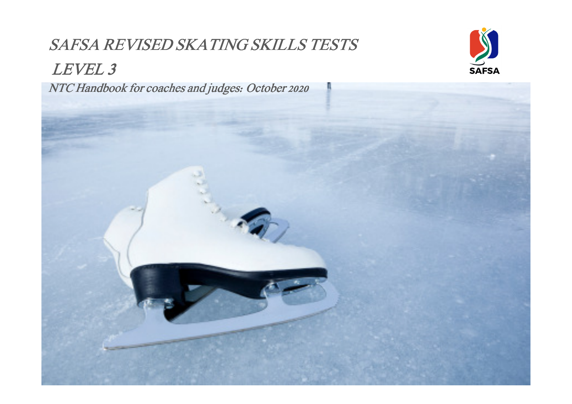# SAFSA REVISED SKATING SKILLS TESTS



LEVEL 3

NTC Handbook for coaches and judges: October 2020

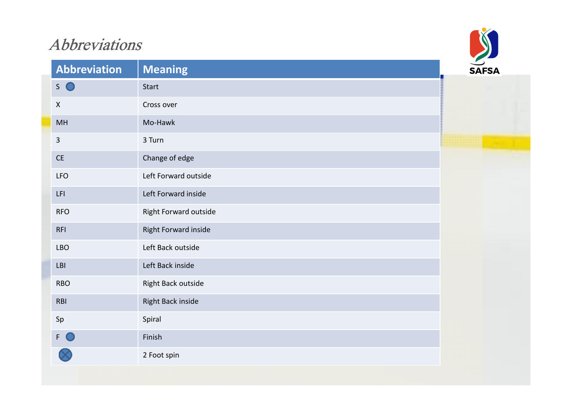# Abbreviations



| Abbreviation                  | <b>Meaning</b>        | <b>SAFSA</b> |
|-------------------------------|-----------------------|--------------|
| $S$ $\bullet$                 | Start                 |              |
| $\pmb{\mathsf{X}}$            | Cross over            |              |
| MH                            | Mo-Hawk               |              |
| $\overline{3}$                | 3 Turn                |              |
| $\mathsf{CE}% _{\mathcal{A}}$ | Change of edge        |              |
| <b>LFO</b>                    | Left Forward outside  |              |
| LFI                           | Left Forward inside   |              |
| <b>RFO</b>                    | Right Forward outside |              |
| <b>RFI</b>                    | Right Forward inside  |              |
| <b>LBO</b>                    | Left Back outside     |              |
| LBI                           | Left Back inside      |              |
| <b>RBO</b>                    | Right Back outside    |              |
| RBI                           | Right Back inside     |              |
| Sp                            | Spiral                |              |
| F O                           | Finish                |              |
|                               | 2 Foot spin           |              |
|                               |                       |              |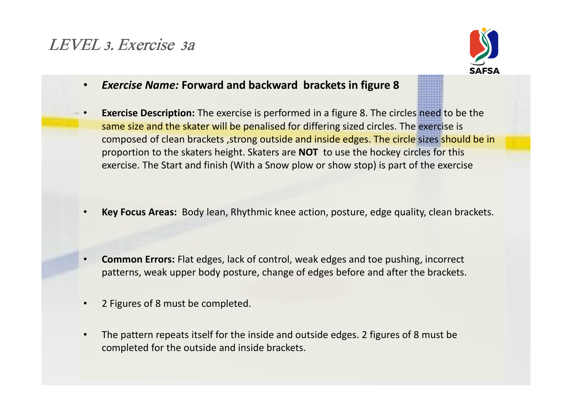### LEVEL 3. Exercise 3a



- •Exercise Name: Forward and backward brackets in figure 8
- • Exercise Description: The exercise is performed in a figure 8. The circles need to be the same size and the skater will be penalised for differing sized circles. The exercise is composed of clean brackets ,strong outside and inside edges. The circle sizes should be in proportion to the skaters height. Skaters are NOT to use the hockey circles for this exercise. The Start and finish (With a Snow plow or show stop) is part of the exercise
- •Key Focus Areas: Body lean, Rhythmic knee action, posture, edge quality, clean brackets.
- • Common Errors: Flat edges, lack of control, weak edges and toe pushing, incorrect patterns, weak upper body posture, change of edges before and after the brackets.
- •2 Figures of 8 must be completed.
- • The pattern repeats itself for the inside and outside edges. 2 figures of 8 must be completed for the outside and inside brackets.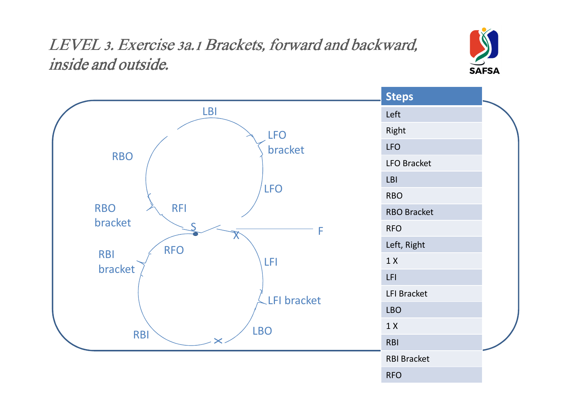# LEVEL 3. Exercise 3a.1 Brackets, forward and backward, inside and outside.



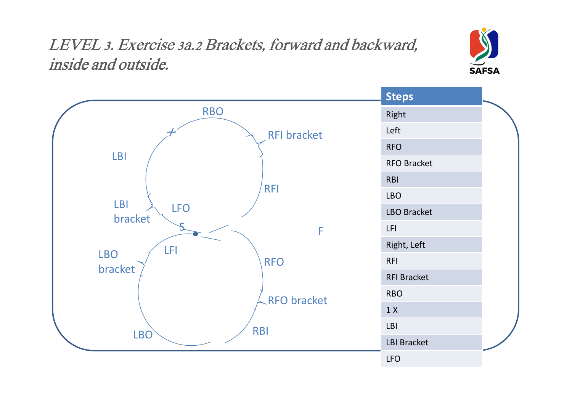# LEVEL 3. Exercise 3a.2 Brackets, forward and backward, inside and outside.



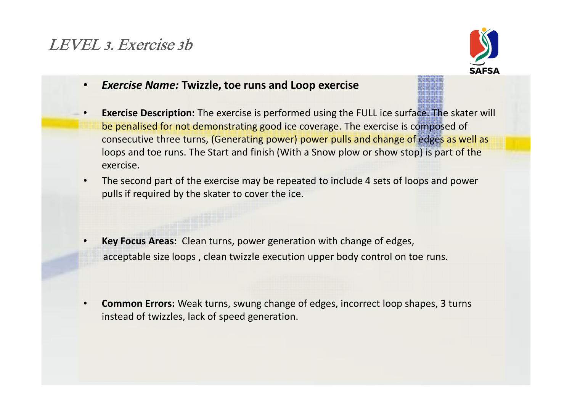## LEVEL 3. Exercise 3b



- •Exercise Name: Twizzle, toe runs and Loop exercise
- • Exercise Description: The exercise is performed using the FULL ice surface. The skater will be penalised for not demonstrating good ice coverage. The exercise is composed of consecutive three turns, (Generating power) power pulls and change of edges as well as loops and toe runs. The Start and finish (With a Snow plow or show stop) is part of the exercise.
- • The second part of the exercise may be repeated to include 4 sets of loops and power pulls if required by the skater to cover the ice.
- • Key Focus Areas: Clean turns, power generation with change of edges, acceptable size loops , clean twizzle execution upper body control on toe runs.
- • Common Errors: Weak turns, swung change of edges, incorrect loop shapes, 3 turns instead of twizzles, lack of speed generation.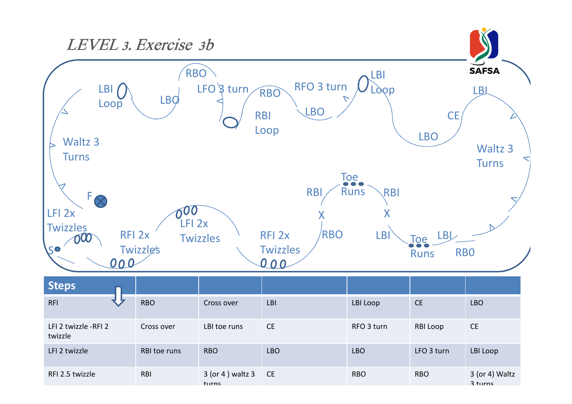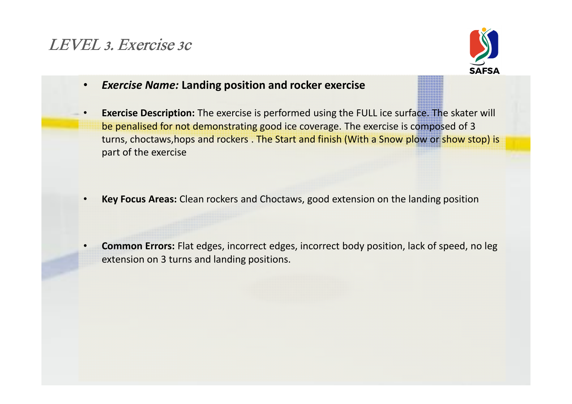#### LEVEL 3. Exercise 3c



- •Exercise Name: Landing position and rocker exercise
- • Exercise Description: The exercise is performed using the FULL ice surface. The skater will be penalised for not demonstrating good ice coverage. The exercise is composed of 3 turns, choctaws,hops and rockers . The Start and finish (With a Snow plow or show stop) is part of the exercise
- •Key Focus Areas: Clean rockers and Choctaws, good extension on the landing position
- • Common Errors: Flat edges, incorrect edges, incorrect body position, lack of speed, no leg extension on 3 turns and landing positions.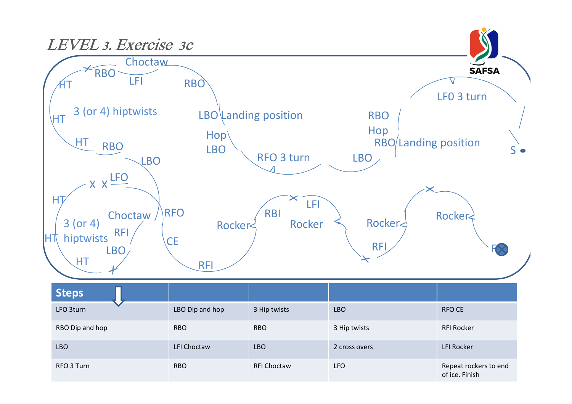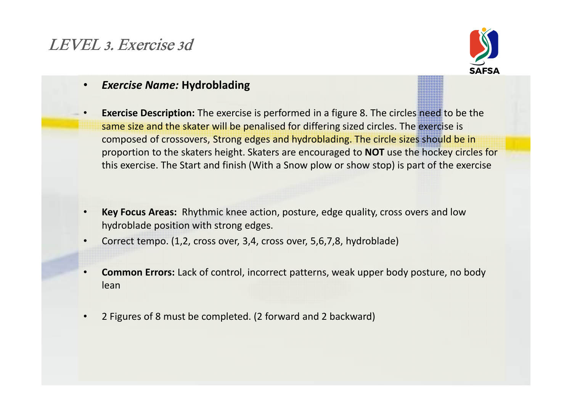## LEVEL 3. Exercise 3d



#### •Exercise Name: Hydroblading

- • Exercise Description: The exercise is performed in a figure 8. The circles need to be the same size and the skater will be penalised for differing sized circles. The exercise is composed of crossovers, Strong edges and hydroblading. The circle sizes should be in proportion to the skaters height. Skaters are encouraged to NOT use the hockey circles for this exercise. The Start and finish (With a Snow plow or show stop) is part of the exercise
- • Key Focus Areas: Rhythmic knee action, posture, edge quality, cross overs and low hydroblade position with strong edges.
- •Correct tempo. (1,2, cross over, 3,4, cross over, 5,6,7,8, hydroblade)
- • Common Errors: Lack of control, incorrect patterns, weak upper body posture, no body lean
- •2 Figures of 8 must be completed. (2 forward and 2 backward)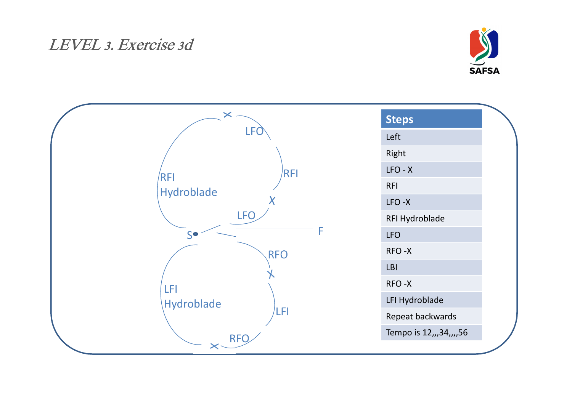#### LEVEL 3. Exercise 3d



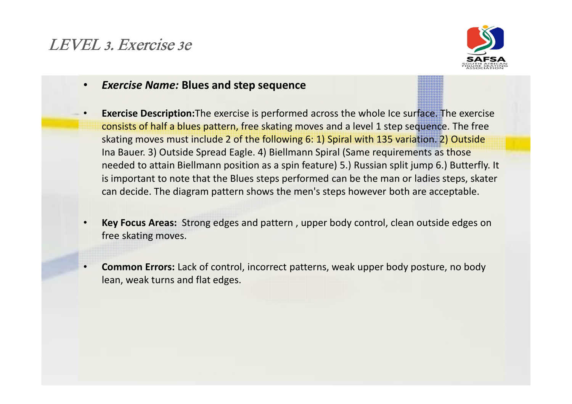### LEVEL 3. Exercise 3e



- •Exercise Name: Blues and step sequence
- • Exercise Description:The exercise is performed across the whole Ice surface. The exercise consists of half a blues pattern, free skating moves and a level 1 step sequence. The free skating moves must include 2 of the following 6: 1) Spiral with 135 variation. 2) Outside Ina Bauer. 3) Outside Spread Eagle. 4) Biellmann Spiral (Same requirements as those needed to attain Biellmann position as a spin feature) 5.) Russian split jump 6.) Butterfly. It is important to note that the Blues steps performed can be the man or ladies steps, skater can decide. The diagram pattern shows the men's steps however both are acceptable.
- • Key Focus Areas: Strong edges and pattern , upper body control, clean outside edges on free skating moves.
- • Common Errors: Lack of control, incorrect patterns, weak upper body posture, no body lean, weak turns and flat edges.